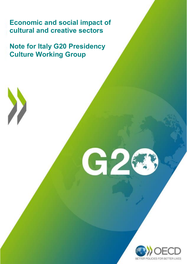**Economic and social impact of cultural and creative sectors**

**Note for Italy G20 Presidency Culture Working Group**

G

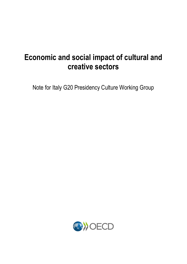# **Economic and social impact of cultural and creative sectors**

Note for Italy G20 Presidency Culture Working Group

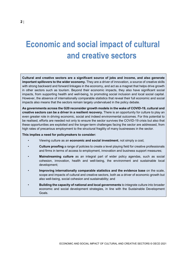# <span id="page-2-0"></span>**Economic and social impact of cultural and creative sectors**

**Cultural and creative sectors are a significant source of jobs and income, and also generate important spillovers to the wider economy.** They are a driver of innovation, a source of creative skills with strong backward and forward linkages in the economy, and act as a magnet that helps drive growth in other sectors such as tourism. Beyond their economic impacts, they also have significant social impacts, from supporting health and well-being, to promoting social inclusion and local social capital. However, the absence of internationally comparable statistics that reveal their full economic and social impacts also means that the sectors remain largely undervalued in the policy debate.

**As governments across the G20 reconsider growth models in the wake of COVID-19, cultural and creative sectors can be a driver in a resilient recovery.** There is an opportunity for culture to play an even greater role in driving economic, social and indeed environmental outcomes. For this potential to be realised, efforts are needed not only to ensure the sector survives the COVID-19 crisis but also that these opportunities are exploited and the longer-term challenges facing the sector are addressed, from high rates of precarious employment to the structural fragility of many businesses in the sector.

#### **This implies a need for policymakers to consider:**

- Viewing culture as an **economic and social investment**, not simply a cost;
- **Culture proofing** a range of policies to create a level playing field for creative professionals and firms in terms of access to employment, innovation and business support measures;
- **Mainstreaming culture** as an integral part of wider policy agendas, such as social cohesion, innovation, health and well-being, the environment and sustainable local development;
- **Improving internationally comparable statistics and the evidence base** on the scale, scope and impacts of cultural and creative sectors, both as a driver of economic growth but also well-being, social cohesion and sustainability; and
- **Building the capacity of national and local governments** to integrate culture into broader economic and social development strategies, in line with the Sustainable Development Goals.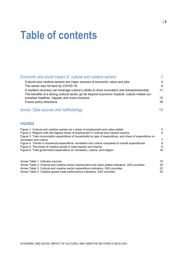# **Table of contents**

| Economic and social impact of cultural and creative sectors                                                                                                                                | $\mathfrak{D}$ |
|--------------------------------------------------------------------------------------------------------------------------------------------------------------------------------------------|----------------|
| Cultural and creative sectors are major sources of economic value and jobs<br>The sector was hit hard by COVID-19                                                                          | 4<br>9         |
| A resilient recovery can leverage culture's ability to drive innovation and entrepreneurship<br>The benefits of a strong cultural sector go far beyond economic impacts: culture makes our | 11             |
| societies healthier, happier and more inclusive                                                                                                                                            | 15             |
| Future policy directions                                                                                                                                                                   | 18             |
| Annex: Data sources and methodology                                                                                                                                                        | 19             |

# **FIGURES**

| Figure 1. Cultural and creative sectors as a share of employment and value added                          | 5  |
|-----------------------------------------------------------------------------------------------------------|----|
| Figure 2. Regions with the highest share of employment in cultural and creative sectors                   | 6  |
| Figure 3. Total consumption expenditure of households by type of expenditure, and share of expenditure on |    |
| recreation and culture                                                                                    | 7  |
| Figure 4. Trends in household expenditure: recreation and culture compared to overall expenditures        | 8  |
| Figure 5. The share of creative goods in total exports and imports                                        | 9  |
| Figure 6. Total government expenditure on recreation, culture, and religion                               | 18 |
|                                                                                                           |    |
|                                                                                                           |    |

| Annex Table 1. Indicator sources                                                                 | 19 |
|--------------------------------------------------------------------------------------------------|----|
| Annex Table 2. Cultural and creative sector employment and value added indicators, G20 countries | 20 |
| Annex Table 3. Cultural and creative sector expenditure indicators, G20 countries                | 22 |
| Annex Table 4. Creative goods trade performance indicators, G20 countries                        | 24 |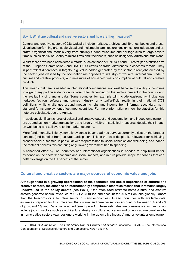# <span id="page-4-1"></span>**Box 1. What are cultural and creative sectors and how are they measured?**

Cultural and creative sectors (CCS) typically include heritage, archives and libraries; books and press; visual and performing arts; audio-visual and multimedia; architecture; design; cultural education and art crafts. Organisational models vary from publicly-funded museums and heritage sites to large private firms such as Netflix or Spotify to micro-firms and freelancers, such as designers, artists and musicians.

Whilst there have been considerable efforts, such as those of UNESCO and Eurostat (the statistics arm of the European Commission), and UNCTAD's efforts on trade, differences in concepts remain. They in part reflect differences in targets, e.g. value-added generated by the sector, direct jobs created by the sector, jobs classed by the occupation (as opposed to industry) of workers, international trade in cultural and creative products, and measures of household final consumption of cultural and creative products.

This means that care is needed in international comparisons, not least because the ability of countries to align to any particular definition will also differ depending on the sectors present in the country and the availability of granular data. Some countries for example will include gastronomy, indigenous heritage, fashion, software and games industry, or virtual/artificial reality in their national CCS definitions, while challenges around measuring jobs and income from informal, secondary, nonstandard forms employment affect most countries. For more information on how the statistics for this note are calculated, see the Annex.

In addition, significant shares of cultural and creative output and consumption, and indeed employment, are treated as non-market transactions and largely invisible in statistical measures, despite their impact on well-being and spillovers to the market economy.

More fundamentally, little systematic evidence beyond ad-hoc surveys currently exists on the broader concept (and benefits from) cultural participation. This is the case despite its relevance for achieving broader social outcomes, in particular with respect to health, social cohesion and well-being, and indeed the material benefits this can bring (e.g. lower government health spending).

A concerted effort by G20 countries and international organisations is needed to help build better evidence on the sectors' economic and social impacts, and in turn provide scope for policies that can better leverage on the full benefits of the sector.

## <span id="page-4-0"></span>**Cultural and creative sectors are major sources of economic value and jobs**

**Although there is a growing appreciation of the economic and social importance of cultural and creative sectors, the absence of internationally comparable statistics means that it remains largely undervalued in the policy debate** (see [Box](#page-4-1) 1). One often cited estimate notes cultural and creative sectors generate annual revenues of USD 2.25 trillion and account for 29.5 million jobs globally<sup>[1](#page-4-2)</sup> (more than the telecoms or automotive sector in many economies). In G20 countries with available data, estimates prepared for this note show that cultural and creative sectors account for between 1% and 2% of jobs, and 1% and 3% of value added (see [Figure](#page-5-0) 1). These estimates are conservative as they do not include jobs in sectors such as architecture, design or cultural education and do not capture creative jobs in non-creative sectors (e.g. designers working in the automotive industry) and or volunteer employment

<span id="page-4-2"></span> <sup>1</sup> EY (2015), *Cultural Times: The First Global Map of Cultural and Creative Industries*, CISAC – The International Confederation of Societies of Authors and Composers, New York, NY.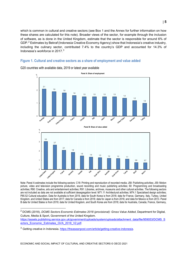which is common in cultural and creative sectors (see [Box](#page-4-1) 1 and the Annex for further information on how these shares are calculated for this note). Broader views of the sector, for example through the inclusion of software, as is done in the United Kingdom, estimate that the sector is responsible for around 6% of GDP.[2](#page-5-1) Estimates by Bekraf (Indonesia Creative Economy Agency) show that Indonesia's creative industry, including the culinary sector, contributed 7.4% to the country's GDP and accounted for 14.3% of Indonesia's workforce in 2017. [3](#page-5-2)

# <span id="page-5-0"></span>**Figure 1. Cultural and creative sectors as a share of employment and value added**



G20 countries with available data, 2019 or latest year available

Note: Panel A estimates include the following sectors: C18: Printing and reproduction of recorded media; J58: Publishing activities; J59: Motion picture, video and television programme production, sound recording and music publishing activities; 60: Programming and broadcasting activities; R90: Creative, arts and entertainment activities; R91: Libraries, archives, museums and other cultural activities. The following sectors are not included as data are not available at sufficient desegregation level: M71.11 Architectural activities; M74.1 Specialised design activities; P85.52 Cultural education. Data for Australia is from 2019, data for South Korea is from 2018; data for France, Germany, Italy, Turkey, United Kingdom, and United States are from 2017; data for Canada is from 2018; data for Japan is from 2016; and data for Mexico is from 2013. Panel B data for United States is from 2019; data for United Kingdom, and South Korea are from 2018; data for Australia, Canada, France, Germany,

<span id="page-5-1"></span> <sup>2</sup> DCMS (2018), *DCMS Sectors Economic Estimates 2018 (provisional): Gross Value Added*, Department for Digital, Culture, Media & Sport, Government of the United Kingdom.

[https://assets.publishing.service.gov.uk/government/uploads/system/uploads/attachment\\_data/file/959053/DCMS\\_S](https://assets.publishing.service.gov.uk/government/uploads/system/uploads/attachment_data/file/959053/DCMS_Sectors_Economic_Estimates_GVA_2018_V2.pdf) [ectors\\_Economic\\_Estimates\\_GVA\\_2018\\_V2.pdf.](https://assets.publishing.service.gov.uk/government/uploads/system/uploads/attachment_data/file/959053/DCMS_Sectors_Economic_Estimates_GVA_2018_V2.pdf)

<span id="page-5-2"></span> $3$  Getting creative in Indonesia. [https://theaseanpost.com/article/getting-creative-indonesia.](https://theaseanpost.com/article/getting-creative-indonesia)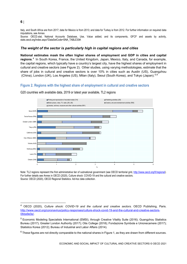#### Italy, and South Africa are from 2017; data for Mexico is from 2013; and data for Turkey is from 2012. For further information on required data imputations, see Annex.

Source: OECD.stat, National Accounts Database, Use, Value added, and its components, GFCF and assets by activity, stats.oecd.org/Index.aspx?DataSetCode=SNA\_TABLE30#.

# *The weight of the sector is particularly high in capital regions and cities*

**National estimates mask the often higher shares of employment and GDP in cities and capital regions**. [4](#page-6-1) In South Korea, France, the United Kingdom, Japan, Mexico, Italy, and Canada, for example, the capital regions, which typically have a country's largest city, have the highest shares of employment in cultural and creative sectors (see [Figure](#page-6-0) 2). Other studies, using varying methodologies, estimate that the share of jobs in cultural and creative sectors is over 10% in cities such as Austin (US), Guangzhou (China), London (UK), Los Angeles (US), Milan (Italy), Seoul (South Korea), and Tokyo (Japan).<sup>[5](#page-6-2),[6](#page-6-3)</sup>

# <span id="page-6-0"></span>**Figure 2. Regions with the highest share of employment in cultural and creative sectors**



G20 countries with available data, 2019 or latest year available, TL2 regions

Note: TL2 regions represent the first administrative tier of subnational government (see OECD territorial grid, [http://www.oecd.org/fr/regional\)](http://www.oecd.org/fr/regional). For further details see Annex in OECD (2020), Culture shock: COVID-19 and the cultural and creative sectors. Source: OECD (2020), OECD Regional Statistics. Ad-hoc data collection.

# **6** |

<span id="page-6-1"></span> <sup>4</sup> OECD (2020), *Culture shock: COVID-19 and the cultural and creative sectors*. OECD Publishing, Paris. [http://www.oecd.org/coronavirus/policy-responses/culture-shock-covid-19-and-the-cultural-and-creative-sectors-](http://www.oecd.org/coronavirus/policy-responses/culture-shock-covid-19-and-the-cultural-and-creative-sectors-08da9e0e/)[08da9e0e/.](http://www.oecd.org/coronavirus/policy-responses/culture-shock-covid-19-and-the-cultural-and-creative-sectors-08da9e0e/)

<span id="page-6-2"></span><sup>&</sup>lt;sup>5</sup> Economic Modeling Specialists International (EMSI), through Creative Vitality Suite (2016); Guangzhou Statistics Bureau (2017); Greater London Authority (2017); Otis College (2018); Fondazione Symbola e Unionecamere (2017); Statistics Korea (2012); Bureau of Industrial and Labor Affairs (2014).

<span id="page-6-3"></span> $6$  These figures are not directly comparable to the national shares in Figure 1, as they are drawn from different sources.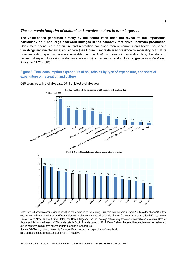#### *The economic footprint of cultural and creative sectors is even larger. . .*

**The value-added generated directly by the sector itself does not reveal its full importance, particularly as it has large backward linkages in the economy that drive upstream production.** Consumers spend more on culture and recreation combined than restaurants and hotels; household furnishings and maintenance; and apparel (see [Figure](#page-7-0) 3; more detailed breakdowns separating out culture from recreation spending are not available). Across G20 countries with available data, the share of household expenditures (in the domestic economy) on recreation and culture ranges from 4.2% (South Africa) to 11.2% (UK).

# <span id="page-7-0"></span>**Figure 3. Total consumption expenditure of households by type of expenditure, and share of expenditure on recreation and culture**



G20 countries with available data, 2019 or latest available year

Note: Data is based on consumption expenditure of households on the territory. Numbers over the bars in Panel A indicate the share (%) of total expenditure. Indicators are based on G20 countries with available data: Australia, Canada, France, Germany, Italy, Japan, South Korea, Mexico, Russia, South Africa, Turkey, United States, and United Kingdom. The G20 average reflects only those countries with available data. Data for Japan, and Russia are based on 2018, while data for South Africa is based on 2014. Panel B shows household expenditures on recreation and culture expressed as a share of national total household expenditures.

Source: OECD.stat, National Accounts Database Final consumption expenditure of households,

stats.oecd.org/Index.aspx?DataSetCode=SNA\_TABLE5#.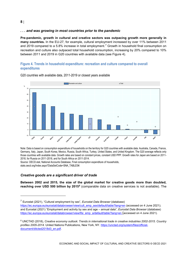# *. . . and was growing in most countries prior to the pandemic*

**Pre-pandemic, growth in cultural and creative sectors was outpacing growth more generally in many countries.** In the EU-27, for example, cultural employment increased by over 11% between 2011 and 2019 compared to a 5.8% increase in total employment.<sup>[7](#page-8-1)</sup> Growth in household final consumption on recreation and culture also outpaced total household consumption, increasing by 20% compared to 10% between 2011 and 2019 in G20 countries with available data (see [Figure](#page-8-0) 4).

# <span id="page-8-0"></span>**Figure 4. Trends in household expenditure: recreation and culture compared to overall expenditures**



G20 countries with available data, 2011-2019 or closest years available

Note: Data is based on consumption expenditure of households on the territory for G20 countries with available data: Australia, Canada, France, Germany, Italy, Japan, South Korea, Mexico, Russia, South Africa, Turkey, United States, and United Kingdom. The G20 average reflects only those countries with available data. Growth rates are based on constant prices, constant USD PPP. Growth rates for Japan are based on 2011- 2018, for Russia on 2011-2018, and for South Africa on 2011-2014.

Source: OECD.stat, National Accounts Database, Final consumption expenditure of households, stats.oecd.org/Index.aspx?DataSetCode=SNA\_TABLE5#.

# *Creative goods are a significant driver of trade*

**Between 2002 and 2015, the size of the global market for creative goods more than doubled, reaching over USD 500 billion by 2015[8](#page-8-2)** (comparable data on creative services is not available). The

 $\overline{a}$ 

<span id="page-8-1"></span><sup>7</sup> Eurostat (2021), "Cultural employment by sex", *Eurostat Data Browser* (database) [https://ec.europa.eu/eurostat/databrowser/view/cult\\_emp\\_sex/default/table?lang=en](https://ec.europa.eu/eurostat/databrowser/view/cult_emp_sex/default/table?lang=en) (accessed on 4 June 2021); and Eurostat (2021) "Employment and activity by sex and age – annual data", *Eurostat Data Browser* (database) [https://ec.europa.eu/eurostat/databrowser/view/lfsi\\_emp\\_a/default/table?lang=en](https://ec.europa.eu/eurostat/databrowser/view/lfsi_emp_a/default/table?lang=en%C2%A0) (accessed on 4 June 2021).

<span id="page-8-2"></span><sup>8</sup> UNCTAD (2018), *Creative economy outlook: Trends in international trade in creative industries 2002-2015. Country profiles 2005-2014.* United Nations Publications, New York, NY. [https://unctad.org/system/files/official](https://unctad.org/system/files/official-document/ditcted2018d3_en.pdf)[document/ditcted2018d3\\_en.pdf.](https://unctad.org/system/files/official-document/ditcted2018d3_en.pdf)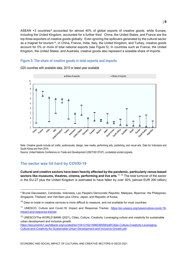ASEAN +3 countries<sup>[9](#page-9-2)</sup> accounted for almost 40% of global exports of creative goods, while Europe, including the United Kingdom, accounted for a further third. China, the United States, and France are the top three exporters of creative goods globally. Even ignoring the spillovers generated by the cultural sector as a magnet for tourism<sup>10</sup>, in China, France, India, Italy, the United Kingdom, and Turkey, creative goods account for 5% or more of total national exports (see [Figure](#page-9-1) 5). In countries such as France, the United Kingdom, the United States, and Australia, creative goods also represent a sizeable share of imports.

# <span id="page-9-1"></span>**Figure 5. The share of creative goods in total exports and imports**

G20 countries with available data, 2015 or latest year available



Note: Creative goods include art crafts, audiovisuals, design, new media, performing arts, publishing, and visual arts. Data for Indonesia and South Korea are from 2014.

Source: United Nations Conference on Trade and Development (UNCTAD STAT), unctadstat.unctad.org/wds.

# <span id="page-9-0"></span>**The sector was hit hard by COVID-19**

**Cultural and creative sectors have been heavily affected by the pandemic, particularly venue-based sectors like museums, theatres, cinema, performing and live arts**. [11](#page-9-4),[12](#page-9-5) The total turnover of the sector in the EU-27 plus the United Kingdom is estimated to have fallen by over 30% (almost EUR 200 billion)

<span id="page-9-2"></span><sup>9</sup> Brunei Darussalam, Cambodia, Indonesia, Lao People's Democratic Republic, Malaysia, Myanmar, the Philippines, Singapore, Thailand, and Viet Nam plus China, Japan, and Republic of Korea.

<span id="page-9-3"></span> $10$  Data on trade in creative services is more difficult to measure, and not available for most countries.

<span id="page-9-4"></span><sup>11</sup> UNESCO, Culture and Covid-19: Impact and Response Tracker, [https://en.unesco.org/news/culture-covid-19](https://en.unesco.org/news/culture-covid-19-impact-and-response-tracker) [impact-and-response-tracker.](https://en.unesco.org/news/culture-covid-19-impact-and-response-tracker)

<span id="page-9-5"></span><sup>12</sup> UNESCO/The WORLD BANK (2021), Cities, Culture, Creativity: Leveraging culture and creativity for sustainable urban development and inclusive growth.

[https://documents1.worldbank.org/curated/en/104121621556036559/pdf/Cities-Culture-Creativity-Leveraging-](https://documents1.worldbank.org/curated/en/104121621556036559/pdf/Cities-Culture-Creativity-Leveraging-Culture-and-Creativity-for-Sustainable-Urban-Development-and-Inclusive-Growth.pdf)[Culture-and-Creativity-for-Sustainable-Urban-Development-and-Inclusive-Growth.pdf.](https://documents1.worldbank.org/curated/en/104121621556036559/pdf/Cities-Culture-Creativity-Leveraging-Culture-and-Creativity-for-Sustainable-Urban-Development-and-Inclusive-Growth.pdf)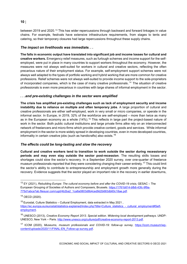between 2019 and 2020.[13](#page-10-0) This has wider repercussions through backward and forward linkages in value chains. For example, festivals have extensive infrastructure requirements, from stages to tents and catering, so their temporary closures had large repercussions throughout these supply chains.

# *The impact on livelihoods was immediate. . .*

**The falls in economic output have translated into significant job and income losses for cultural and creative workers.** Emergency relief measures, such as furlough schemes and income support for the selfemployed, were put in place in many countries to support workers throughout the economy. However, the measures were not always well-suited for workers in cultural and creative sectors, reflecting the often precarious nature of their employment status. For example, self-employment support schemes were not always well adapted to the types of portfolio working and hybrid working that are more common for creative professions. Relief schemes were not always well-suited to provide income support to the sole-proprietors of incorporated companies, which is the case of many creative professionals.<sup>[14](#page-10-1)</sup> The situation of creative professionals is even more precarious in countries with large shares of informal employment in the sector.

# *. . .and pre-existing challenges in the sector were amplified*

**The crisis has amplified pre-existing challenges such as lack of employment security and income instability due to reliance on multiple and often temporary jobs**. A large proportion of cultural and creative professionals are either self-employed, work in very small or micro companies, or operate in the informal sector. In Europe, in 2019, 32% of the workforce are self-employed – more than twice as many as in the European economy as a whole  $(14\%)$ .<sup>[15](#page-10-2)</sup> This reflects in large part the project-based nature of work in the sector. Both public cultural institutions and large private firms alike rely on an interconnected network of freelancers and micro-firms which provide creative content, goods and services. While informal employment in the sector is more widely spread in developing countries, even in more developed countries, informality in certain creative jobs (such as handicrafts) also exists.<sup>[16](#page-10-3)</sup>

# *The effects could be long-lasting and slow the recovery*

**Cultural and creative workers tend to transition to work outside the sector during recessionary periods and may even stay outside the sector post-recession**. The resulting skills losses and shortages could slow the sector's recovery. In a September 2020 survey, over one-quarter of freelance museum professionals reported that they were considering changing their career entirely.<sup>[17](#page-10-4)</sup> This could limit the sector's ability to contribute to entrepreneurship and employment growth more generally during the recovery. Evidence suggests that the sector played an important role in the recovery in earlier downturns,

<span id="page-10-0"></span><sup>&</sup>lt;sup>13</sup> EY (2021), *Rebuilding Europe: The cultural economy before and after the COVID-19 crisis, GESAC - The* European Grouping of Societies of Authors and Composers, Brussels. [https://1761b814-bfb6-43fc-9f9a-](https://1761b814-bfb6-43fc-9f9a-775d1abca7ab.filesusr.com/ugd/4b2ba2_1ca8a0803d8b4ced9d2b683db60c18ae.pdf)[775d1abca7ab.filesusr.com/ugd/4b2ba2\\_1ca8a0803d8b4ced9d2b683db60c18ae.pdf.](https://1761b814-bfb6-43fc-9f9a-775d1abca7ab.filesusr.com/ugd/4b2ba2_1ca8a0803d8b4ced9d2b683db60c18ae.pdf)

<span id="page-10-1"></span><sup>14</sup> OECD (2020).

<span id="page-10-2"></span><sup>15</sup> Eurostat, Culture Statistics – Cultural Employment, data extracted in May 2021 , [https://ec.europa.eu/eurostat/statistics-explained/index.php?title=Culture\\_statistics\\_-\\_cultural\\_employment#Self](https://ec.europa.eu/eurostat/statistics-explained/index.php?title=Culture_statistics_-_cultural_employment#Self-employment)[employment.](https://ec.europa.eu/eurostat/statistics-explained/index.php?title=Culture_statistics_-_cultural_employment#Self-employment)

<span id="page-10-3"></span><sup>16</sup> UNESCO (2013), *Creative Economy Report 2013. Special edition. Widening local development pathways.* UNDP-UNESCO, New York – Paris. [http://www.unesco.org/culture/pdf/creative-economy-report-2013.pdf.](http://www.unesco.org/culture/pdf/creative-economy-report-2013.pdf)

<span id="page-10-4"></span><sup>17</sup> ICOM (2020), *Museums, museum professionals and COVID-19: follow-up survey,* [https://icom.museum/wp](https://icom.museum/wp-content/uploads/2020/11/FINAL-EN_Follow-up-survey.pdf)[content/uploads/2020/11/FINAL-EN\\_Follow-up-survey.pdf.](https://icom.museum/wp-content/uploads/2020/11/FINAL-EN_Follow-up-survey.pdf)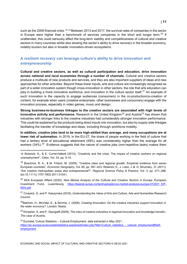such as the 2008 financial crisis.<sup>[18](#page-11-1),[19](#page-11-2)</sup> Between 2013 and 2017, the survival rates of companies in the sector in Europe were higher than a benchmark of services companies in the short and longer term.<sup>[20](#page-11-3)</sup> If unattended, this could seriously affect the long-term viability and competitiveness of cultural and creative sectors in many countries whilst also slowing the sector's ability to drive recovery in the broader economy, notably tourism but also in broader innovation-driven ecosystems.

# <span id="page-11-0"></span>**A resilient recovery can leverage culture's ability to drive innovation and entrepreneurship**

**Cultural and creative sectors, as well as cultural participation and education, drive innovation across national and local economies through a number of channels.** Cultural and creative sectors produce a multitude of new products and services, and they are also important suppliers of ideas and new approaches for other activities. Beyond these linear inputs, arts and culture are increasingly recognised as part of a wider innovation system though cross-innovation in other sectors, the role that arts education can play in building a more innovative workforce, and innovation in the culture sector itself.<sup>[21](#page-11-4)</sup> An example of such innovation is the capacity to engage audiences (consumers) in the co-production/co-creation of content, for example when users (creative enterprises, other businesses and consumers) engage with the innovation process, especially in video games, music and design.

**Strong business-to-business linkages to the creative sectors are associated with high levels of innovative activity and performance.** Research in the United Kingdom<sup>[22](#page-11-5)</sup> and Austria<sup>[23](#page-11-6)</sup> has shown that industries with stronger links to the creative industries had considerably stronger innovation performance. This could be explained by the products being direct inputs into innovation, but also by supply-side linkages facilitating the transfer of knowledge and ideas, including through workforce mobility.

**In addition, creative jobs tend to be more high-skilled than average, and many occupations are at lower risk of automation.** In 2019, in the EU-27, the share of people working in the field of culture that had a tertiary level of educational attainment (59%) was considerably higher than the average for all workers (34%).<sup>[24](#page-11-7)</sup> Evidence suggests that the nature of creative jobs (non-repetitive tasks) makes them

<span id="page-11-3"></span><sup>20</sup> KEA European Affairs (2020), *New Market Analysis of the Cultural and Creative Sectors in Europe.* European Investment Fund, Luxembourg. [https://keanet.eu/wp-content/uploads/ccs-market-analysis-europe-012021\\_EIF-](https://keanet.eu/wp-content/uploads/ccs-market-analysis-europe-012021_EIF-KEA.pdf)[KEA.pdf.](https://keanet.eu/wp-content/uploads/ccs-market-analysis-europe-012021_EIF-KEA.pdf)

<span id="page-11-4"></span><sup>21</sup> Crossick, G. and P. Kaszynska (2016), *Understanding the Value of Arts and Culture*, Arts and Humanities Research Council.

<span id="page-11-5"></span>22Bakhshi, H., McVittie, E., & Simmie, J. (2008). *Creating Innovation: Do the creative industries support innovation in the wider economy?*. London: Nesta.

<span id="page-11-6"></span><sup>23</sup> Kimpeler, S. and P. Georgieff (2009), *The roles of creative industries in regional innovation and knowledge transfer– The case of Austria.*

<span id="page-11-7"></span> $24$  Eurostat, Culture Statistics – Cultural Employment, data extracted in May 2021, [https://ec.europa.eu/eurostat/statistics-explained/index.php?title=Culture\\_statistics\\_-\\_cultural\\_employment#Self](https://ec.europa.eu/eurostat/statistics-explained/index.php?title=Culture_statistics_-_cultural_employment#Self-employment)[employment.](https://ec.europa.eu/eurostat/statistics-explained/index.php?title=Culture_statistics_-_cultural_employment#Self-employment)

ECONOMIC AND SOCIAL IMPACT OF CULTURAL AND CREATIVE SECTORS © OECD 2021

 $\overline{a}$ 

<span id="page-11-1"></span><sup>18</sup> Stolarick, K., & E. Currid-Halkett (2012), "Creativity and the crisis: The impact of creative workers on regional unemployment", *Cities*, Vol. 33, pp. 5-14.

<span id="page-11-2"></span><sup>&</sup>lt;sup>19</sup> Boschma, R. A., & M. Fritsch, M. (2009), "Creative class and regional growth: Empirical evidence from seven European countries", *Economic Geography*, Vol. 85, pp. 391–423; Stolarick, K., J. Lobo, J.,& D. Strumsky , D. (2011), "Are creative metropolitan areas also entrepreneurial?", *Regional Science Policy & Practice*, Vol. 3, pp. 271–286. doi:10.1111/j.1757-7802.2011.01041.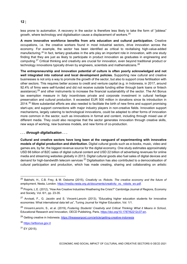less prone to automation. A recovery in the sector is therefore less likely to take the form of "jobless" growth, where technology and digitalisation cause a displacement of workers. $^{25}$  $^{25}$  $^{25}$ 

**A more innovative workforce benefits from arts education and cultural participation.** Creative occupations, i.e. the creative workers found in most industrial sectors, drive innovation across the economy. For example, the sector has been identified as critical to revitalising high-value-added manufacturing.[26](#page-12-1) In fact, tertiary graduates in the arts play an important role in innovation, with one study finding that they are just as likely to participate in product innovation as graduates in engineering and computing.[27](#page-12-2) Critical thinking and creativity are crucial for innovation, even beyond traditional product or technology innovations typically driven by engineers, scientists and mathematicians.<sup>[28](#page-12-3)</sup>

**The entrepreneurship and innovation potential of culture is often poorly acknowledged and not well integrated into national and local development policies.** Supporting new cultural and creative businesses is not only a way to promote the growth of the sector, but also to support cross fertilisation with other sectors. This requires better access to credit and venture capital (e.g. in Indonesia, in 2017, around 92.4% of firms were self-funded and did not receive outside funding either through bank loans or fintech assistance);<sup>[29](#page-12-4)</sup> and other instruments to increase the financial sustainability of the sector. The Art Bonus tax exemption measure in Italy incentivises private and corporate investment in cultural heritage preservation and cultural production. It exceeded EUR 500 million in donations since its introduction in  $2014<sup>30</sup>$  $2014<sup>30</sup>$  $2014<sup>30</sup>$  More substantial efforts are also needed to facilitate the birth of new firms and support promising start-ups; and support connections with major industry players in non-creative fields. Innovation support mechanisms, largely catering to technological innovations, could be adapted to other forms of innovation more common in the sector, such as innovations in format and content, including through mixed use of different media. They could also recognise that the sector generates innovation through creative skills, new ways of working, new business models, and new forms of co-production.

#### *. . . through digitalisation . . .*

**Cultural and creative sectors have long been at the vanguard of experimenting with innovative models of digital production and distribution.** Digital cultural goods such as e-books, music, video and games are, by far, the biggest revenue source for the digital economy. One study estimates approximately USD 66 billion of B2C sales of digital cultural content and USD 22 billion of advertising revenues for online media and streaming websites globally in 2013. Digital cultural goods also fuel sales of digital devices and demand for high-bandwidth telecom services.<sup>[31](#page-12-6)</sup> Digitalisation has also contributed to a democratisation of cultural participation and production, which has made creating, sharing and collaborating on artistic

<span id="page-12-0"></span> <sup>25</sup> Bakhshi, H., C.B. Frey, & M. Osborne (2015), *Creativity vs. Robots. The creative economy and the future of employment*, Nesta, London. [https://media.nesta.org.uk/documents/creativity\\_vs.\\_robots\\_wv.pdf.](https://media.nesta.org.uk/documents/creativity_vs._robots_wv.pdf)

<span id="page-12-1"></span><sup>&</sup>lt;sup>26</sup> Propris, L.E. (2012), "How Are Creative Industries Weathering the Crisis?" Cambridge Journal of Regions, Economy and Society, Vol. 6/1, pp. 23-35.

<span id="page-12-2"></span> $27$  Avvisati, F., G. Jacotin and S. Vincent-Lancrin (2013), "Educating higher education students for innovative economies: What international data tell us", Tuning Journal for Higher Education, Vol. 1/1.

<span id="page-12-3"></span><sup>28</sup> Vincent-Lancrin, S., et al. (2019), *Fostering Students' Creativity and Critical Thinking: What it Means in School*, Educational Research and Innovation, OECD Publishing, Paris, [https://doi.org/10.1787/62212c37-en.](https://doi.org/10.1787/62212c37-en)

<span id="page-12-4"></span><sup>&</sup>lt;sup>29</sup> Getting creative in Indonesia.<https://theaseanpost.com/article/getting-creative-indonesia>

<span id="page-12-5"></span><sup>30</sup> [https://artbonus.gov.it](https://artbonus.gov.it/)

<span id="page-12-6"></span> $31$  EY (2015).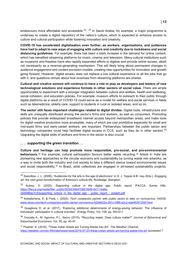endeavours more affordable and accessible.<sup>[32](#page-13-0), [33](#page-13-1)</sup> In Saudi Arabia, for example, a major programme is underway to create a digital repository of the nation's culture, which is expected to enhance access to culture and cultural participation while fostering innovation and creativity.

**COVID-19 has accelerated digitalisation even further, as workers, organisations, and audiences have had to adapt to new ways of engaging with culture and creativity due to lockdowns and social distancing guidelines.** For example, there has been a stark increase in the demand for online content, which has benefited streaming platforms for music, cinema and television. Many cultural institutions such as museums and theatres have also rapidly expanded efforts to digitise and provide online access, albeit not necessarily as a revenue-generating mechanism. This will likely bring about permanent changes in audience engagement and content provision models, creating new opportunities for innovation and growth going forward. However, digital access does not replace a live cultural experience or all the jobs that go with it, and questions remain about how revenues from streaming platforms are shared.

**Cultural and creative sectors will continue to have a role to play as developers and testers of new technological solutions and experience formats in other sectors of social value.** There are ample opportunities to experiment with a stronger integration between culture and welfare, health and wellbeing, social cohesion, and education policies. For example, museum efforts to outreach to their public through digital platforms as a result of COVID-19 could serve as a model for welfare and social services in fields such as telemedicine, elderly care, support to students in rural or isolated areas, and so on.

**The sector still faces important challenges related to digital divides.** Digital tools, infrastructure and skills are unequally distributed among the sector's firms and workers, as well as consumers. Promoting policies that provide widespread broadband internet access beyond metropolitan areas, and make tools for digital creative production more accessible, many of which are cost prohibitive especially for small and mid-sized firms and early-career workers, are important. Partnerships between the public sector and technology companies could help facilitate digital access in CCS, such as they do in other sectors.<sup>[34](#page-13-2)</sup> Upgrading the digital skills of workers and firms in the sector is also crucial.

#### *. . . supporting the green transition. . .*

**Culture and heritage can help promote more responsible, pro-social, and pro-environmental behaviours**.[35](#page-13-3) For example, cultural participation favours better waste recycling.[36](#page-13-4) Artists in India are pioneering new approaches to the circular economy and sustainability by turning waste into artworks, as a way to invite both the industry and civil society to take a different stance toward environmental issues and social responsibility.<sup>[37](#page-13-5)</sup> In Brazil, artist collectives are engaged in art-based sustainability projects,

<span id="page-13-0"></span> <sup>32</sup> Swerdlow, J. L. (2008), "Audiences for the arts in the age of electronics" in S. J. Tepper & B. Ivey (Eds.), *Engaging art: the next great transformation of America's cultural life*, Routledge, Abingdon.

<span id="page-13-1"></span><sup>33</sup> Kulesz, O. (2020), *Supporting culture in the digital age: Public report*, IFACCA, Surrey Hills. [https://ifacca.org/media/filer\\_public/30/b4/30b47b66-5649-4d11-ba6e-](https://ifacca.org/media/filer_public/30/b4/30b47b66-5649-4d11-ba6e-20d59fbac7c5/supporting_culture_in_the_digital_age_-_public_report_-_english.pdf)[20d59fbac7c5/supporting\\_culture\\_in\\_the\\_digital\\_age\\_-\\_public\\_report\\_-\\_english.pdf](https://ifacca.org/media/filer_public/30/b4/30b47b66-5649-4d11-ba6e-20d59fbac7c5/supporting_culture_in_the_digital_age_-_public_report_-_english.pdf)

<span id="page-13-2"></span><sup>34</sup> Kokalitcheva, K. & Fried, I. (2020). *Tech companies partner with public sector to take on coronavirus*. AXIOS. [www.axios.com/tech-companies-public-sector-coronavirus-62b8622a-291c-4f86-a3c2-eda462912fd0.html](http://www.axios.com/tech-companies-public-sector-coronavirus-62b8622a-291c-4f86-a3c2-eda462912fd0.html)

<span id="page-13-3"></span> $35$  Quaglione D. et al. (2017), "Exploring additional determinants of energy-saving behavior: The influence of individuals' participation in cultural activities", *Energy Policy*, Vol. 108, pp. 503-511.

<span id="page-13-4"></span><sup>36</sup> Crociata A., M. Agovino, P.L. Sacco (2015), "Recycling waste: Does culture matter?" *Journal of Behavioral and Experimental Economics*, Vol. 55, pp. 40-47.

<span id="page-13-5"></span><sup>37</sup> Prasher, K. (2019), "These Indian Artists are Turning Waste Into Art", *The Weather Channel,*  <https://weather.com/en-IN/india/news/news/2019-07-23-these-indian-artists-are-turning-waste-into-art> (accessed 7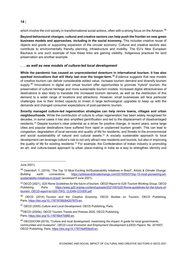which involve the civil society in transformational social actions, often with a strong focus on the Amazon.<sup>[38](#page-14-0)</sup>

**Beyond behavioural changes, cultural and creative sectors can help push the frontier on new green business models and approaches, including in the social economy.** This includes creative reuse of objects and goods or supporting expansion of the circular economy. Cultural and creative sectors also contribute to environmentally friendly planning, infrastructure and mobility. The EU's New European Bauhaus is one such example of how these links are gaining visibility. Indigenous practices for land preservation are another example.

# *. . . as well as new models of culture-led local development*

**While the pandemic has caused an unprecedented downturn in international tourism, it has also sparked innovations that will likely last over the longer-term.** [39](#page-14-1) Evidence suggests that new models of creative tourism can deliver considerable added value, increase tourism demand and diversify tourism supply.<sup>[40](#page-14-2)</sup> Innovations in digital and virtual tourism offer opportunities to promote "hybrid" tourism, the preservation of cultural heritage and more sustainable tourism models. Increased digital attractiveness of destinations is also likely to translate into increased tourism demand, as well as the distribution of this demand to a wider range of locations and attractions. However, small businesses will face particular challenges due to their limited capacity to invest in large technological upgrades to keep up with the demands and changed consumer expectations of post-pandemic tourism.

**Smartly managed culture-led regeneration strategies can help revive towns, villages and urban neighbourhoods**. While the contribution of culture to urban regeneration has been widely recognised for decades, in some cases it has also amplified gentrification and led to the displacement of disadvantaged residents.[41](#page-14-3) Despite tourism's clear potential as a driver for positive change, in recent years, some large cities and popular destinations have suffered from rapid or unplanned tourism growth. This can lead to congestion, degradation of local services and quality of life for residents, and threats to the environmental and social sustainability of natural and cultural assets.<sup>[42](#page-14-4)</sup> A socially sustainable approach to local development can leverage culture's role to not only attract new residents and tourists, but also in improving the quality of life for existing residents.<sup>[43](#page-14-5)</sup> For example, the Confederation of Indian Industry is promoting an art- and culture-based approach to urban place-making in India as a way to strengthen identity and

 $\overline{a}$ 

June 2021).

<span id="page-14-0"></span><sup>38</sup> Ostendorf, Y. (2019), "The Top 10 Most Exciting Art/Sustainability Initiatives in Brazil", *Artists & Climate Change. Building earth connections*, [https://artistsandclimatechange.com/2019/05/07/top-10-most-pioneering-art](https://artistsandclimatechange.com/2019/05/07/top-10-most-pioneering-art-sustainability-initiatives-in-brazil/)[sustainability-initiatives-in-brazil/](https://artistsandclimatechange.com/2019/05/07/top-10-most-pioneering-art-sustainability-initiatives-in-brazil/) (accessed 8 June 2021).

<span id="page-14-1"></span><sup>39</sup> OECD (2021), *G20 Rome Guidelines for the future of tourism. OECD Report to G20 Tourism Working Group. OECD Publishing*, Paris. [https://www.g20.org/wp-content/uploads/2021/05/G20-Rome-guidelines-for-the-future-of](https://www.g20.org/wp-content/uploads/2021/05/G20-Rome-guidelines-for-the-future-of-tourism_OECD-report-to-G20-TWG_CLEAN-COVER.pdf)[tourism\\_OECD-report-to-G20-TWG\\_CLEAN-COVER.pdf.](https://www.g20.org/wp-content/uploads/2021/05/G20-Rome-guidelines-for-the-future-of-tourism_OECD-report-to-G20-TWG_CLEAN-COVER.pdf)

<span id="page-14-2"></span><sup>40</sup> OECD (2014), *Tourism and the Creative Economy*, OECD Studies on Tourism, OECD Publishing, Paris, [https://doi.org/10.1787/9789264207875-en.](https://doi.org/10.1787/9789264207875-en)

<span id="page-14-3"></span><sup>41</sup> OECD (2005) *Culture and Local Development*, OECD Publishing, Paris.

<span id="page-14-4"></span><sup>42</sup>OECD (2020b), OECD Tourism Trends and Policies 2020, OECD Publishing, Paris, [https://doi.org/10.1787/6b47b985-en.](https://doi.org/10.1787/6b47b985-en)

<span id="page-14-5"></span><sup>43</sup> OECD/ICOM (2019), "Culture and local development: maximising the impact: A guide for local governments, communities and museums", *OECD Local Economic and Employment Development (LEED) Papers*, No. 2019/07, OECD Publishing, Paris[, https://doi.org/10.1787/9a855be5-en.](https://doi.org/10.1787/9a855be5-en)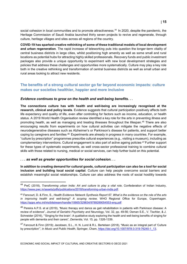**COVID-19 has sparked creative rethinking of some of these traditional models of local development and urban regeneration**. The rapid increase of teleworking puts into question the longer-term vitality of central business districts in large cities, whilst positioning high amenity as well as some small and rural locations as potential hubs for attracting highly skilled professionals. Recovery funds and public investment packages also provide a unique opportunity to experiment with new local development strategies and policies that address these challenges and opportunities more systematically. Culture may play a key role both in the creative rethinking and transformation of central business districts as well as small urban and rural areas looking to attract new residents.

# <span id="page-15-0"></span>**The benefits of a strong cultural sector go far beyond economic impacts: culture makes our societies healthier, happier and more inclusive**

# *Evidence continues to grow on the health and well-being benefits. . .*

**The connections culture has with health and well-being are increasingly recognised at the research, clinical and policy levels**. Evidence suggests that cultural participation positively affects both life expectancy and quality of life, even after controlling for factors such as income, education, or health status. A 2019 World Health Organisation review identified a key role for the arts in preventing illness and promoting health, as well as managing and treating illnesses throughout the lifespan.[45](#page-15-2) There are also encouraging results from experiments on how cultural activities can mitigate the negative effects of neurodegenerative diseases such as Alzheimer's or Parkinson's disease for patients, and support better coping by caregivers and families.[46](#page-15-3) Experiments are already in progress in many countries. For example, "culture by prescription" programmes prescribe cultural experiences (e.g., visiting a museum), including as complementary interventions. Cultural engagement is also part of active ageing policies.[47](#page-15-4) Further support for these types of systematic experiments, as well cross-sector professional training to combine cultural skills with those related to nursing, medical or social services, can help further build on this potential.

#### *. . . as well as greater opportunities for social cohesion. . .*

**In addition to creating demand for cultural goods, cultural participation can also be a tool for social inclusion and building local social capital**. Culture can help people overcome social barriers and establish meaningful social relationships. Culture can also address the roots of social hostility towards

<span id="page-15-1"></span> <sup>44</sup> PwC (2018), *Transforming urban India: Art and culture to play a vital role*, Confederation of Indian Industry, [https://www.pwc.in/assets/pdfs/publications/2018/transforming-urban-india.pdf.](https://www.pwc.in/assets/pdfs/publications/2018/transforming-urban-india.pdf)

<span id="page-15-2"></span><sup>45</sup> Fancourt, D. & Finn, S., *Health Evidence Network Synthesis Report 67. What is the evidence on the role of the arts in improving health and well-being? A scoping review,* WHO Regional Office for Europe, Copenhagen. <https://apps.who.int/iris/bitstream/handle/10665/329834/9789289054553-eng.pdf>

<span id="page-15-3"></span><sup>&</sup>lt;sup>46</sup> Pereira A.P.S. et al (2019), "Music therapy and dance as gait rehabilitation in patients with Parkinson disease: A review of evidence", *Journal of Geriatric Psychiatry and Neurology*, Vol. 32, pp. 49-56; Osman S.E., V. Tischler, & J. Schneider (2016), "'Singing for the brain': A qualitative study exploring the health and well-being benefits of singing for people with dementia and their carers", *Dementia*, Vol. 15, pp. 1326-1339.

<span id="page-15-4"></span><sup>47</sup> Fancourt & Finn (2019); Jacobsen, S.L., H. N. Lund & R.L. Bertelsen (2018), "Music as an integral part of 'Culture by prescription'", in *Music and Public Health*, Springer, Cham, [https://doi.org/10.1007/978-3-319-76240-1\\_13.](https://doi.org/10.1007/978-3-319-76240-1_13)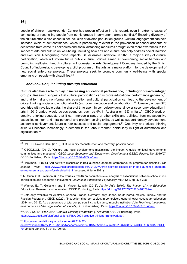people of different backgrounds. Culture has proven effective in this regard, even in extreme cases of connecting or reconciling people from ethnic groups in permanent, armed conflict.[48](#page-16-0) Ensuring diversity of the cultural offer is also essential for inclusion of diverse population groups. Cultural engagement can help increase levels of self-confidence, which is particularly relevant in the prevention of school dropouts or desistance from crime.[49](#page-16-1) Lockdowns and social distancing measures brought even more awareness to the impact of arts and culture on well-being, including how arts and culture can help address social isolation and exclusion. Recognising these impacts, Saudi Arabia undertook in 2020 a major survey of cultural participation, which will inform future public cultural policies aimed at overcoming social barriers and promoting wellbeing through culture. In Indonesia the Arts Development Company, funded by the British Council of Indonesia, is developing a pilot program on the arts as a major platform for the development of new social enterprise projects. These projects seek to promote community well-being, with special emphasis on people with disabilities.<sup>[50](#page-16-2)</sup>

#### *. . . and inclusion, including through education*

**Culture also has a role to play in increasing educational performance, including for disadvantaged groups.** Research suggests that cultural participation can improve educational performance generally, [51](#page-16-3) and that formal and non-formal arts education and cultural participation can lead to the development of critical thinking, social and emotional skills (e.g. communication and collaboration).<sup>[52](#page-16-4)</sup> However, across G20 countries with available data, the share of time spent in compulsory general lower secondary education in arts in 2019 varied widely across countries, such as 4% in Australia or 13% in Italy.<sup>[53](#page-16-5)</sup> OECD work on creative thinking suggests that it can improve a range of other skills and abilities, from metacognitive capacities to inter- and intra-personal and problem-solving skills, as well as support identity development, academic achievement, future career success and social engagement.<sup>[54](#page-16-6)</sup> Creativity and critical thinking skills will become increasingly in-demand in the labour market, particularly in light of automation and digitalisation.<sup>[55](#page-16-7)</sup>

<span id="page-16-0"></span><sup>&</sup>lt;sup>48</sup> UNESCO-World Bank (2018), Culture in city reconstruction and recovery: position paper.

<span id="page-16-1"></span> $49$  OECD/ICOM (2019), "Culture and local development: maximising the impact: A guide for local governments, communities and museums", *OECD Local Economic and Employment Development (LEED) Papers*, No. 2019/07, OECD Publishing, Paris[, https://doi.org/10.1787/9a855be5-en.](https://doi.org/10.1787/9a855be5-en)

<span id="page-16-2"></span><sup>50</sup> Horstman, R. (n.d.), "Art activist's discussion in Bali launches landmark entrepreneurial program for disabled", *The Jakarta Post*, [https://www.thejakartapost.com/life/2019/07/06/art-activists-discussion-in-bali-launches-landmark](https://www.thejakartapost.com/life/2019/07/06/art-activists-discussion-in-bali-launches-landmark-entrepreneurial-program-for-disabled.html)[entrepreneurial-program-for-disabled.html](https://www.thejakartapost.com/life/2019/07/06/art-activists-discussion-in-bali-launches-landmark-entrepreneurial-program-for-disabled.html) (accessed 8 June 2021).

<span id="page-16-3"></span><sup>51</sup> M. Guhn, S.D. Emerson, & P. Gouzouasis (2020). "A population-level analysis of associations between school music participation and academic achievement", *Journal of Educational Psychology*, Vol.112/2, pp. 308-328.

<span id="page-16-4"></span><sup>52</sup> Winner, E., T. Goldstein and S. Vincent-Lancrin (2013), *Art for Art's Sake?: The Impact of Arts Education*, Educational Research and Innovation, OECD Publishing, Paris [https://doi.org/10.1787/9789264180789-en.](https://doi.org/10.1787/9789264180789-en)

<span id="page-16-5"></span><sup>53</sup> Data only available for Australia, Canada, France, Germany, Italy, Japan, South Korea, Mexico, Turkey, and the Russian Federation. OECD (2020), "Instruction time per subject in compulsory general lower secondary education. (2014 and 2019): As a percentage of total compulsory instruction time, in public institutions", in *Teachers, the learning environment and the organisation of schools*, OECD Publishing, Paris, [https://doi.org/10.1787/6c0b1846-en.](https://doi.org/10.1787/6c0b1846-en)

<span id="page-16-6"></span><sup>54</sup> OECD (2019), *PISA 2021 Creative Thinking Framework (Third draft),* OECD Publishing, Paris. [https://www.oecd.org/pisa/publications/PISA-2021-creative-thinking-framework.pdf.](https://www.oecd.org/pisa/publications/PISA-2021-creative-thinking-framework.pdf)

<span id="page-16-7"></span><sup>5</sup>[5https://www.oecd-ilibrary.org/docserver/62212c37-](https://www.oecd-ilibrary.org/docserver/62212c37-en.pdf?expires=1622711910&id=id&accname=ocid84004878&checksum=98012376B417B5CBCE1E639D5B8DCE79)

[en.pdf?expires=1622711910&id=id&accname=ocid84004878&checksum=98012376B417B5CBCE1E639D5B8DCE](https://www.oecd-ilibrary.org/docserver/62212c37-en.pdf?expires=1622711910&id=id&accname=ocid84004878&checksum=98012376B417B5CBCE1E639D5B8DCE79) [79](https://www.oecd-ilibrary.org/docserver/62212c37-en.pdf?expires=1622711910&id=id&accname=ocid84004878&checksum=98012376B417B5CBCE1E639D5B8DCE79) Vincent-Lancrin, S., et al. (2019).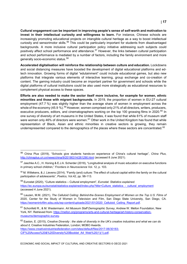**Cultural engagement can be important in improving people's sense of self-worth and motivation to invest in their intellectual curiosity and willingness to learn.** For instance, Chinese schools are increasingly promoting educational projects on intangible cultural heritage as a way to boost intellectual curiosity and sensorimotor skills.<sup>[56](#page-17-0)</sup> This could be particularly important for students from disadvantaged backgrounds. A more inclusive cultural participation policy initiative addressing such subjects could positively affect school performance and attendance. [57](#page-17-1) However, the links between cultural participation and school performance is mediated by a number of factors, including the family environment and more generally socio-economic status.<sup>[58](#page-17-2)</sup>

**Accelerated digitalisation will reinforce the relationship between culture and education.** Lockdowns and social distancing measures have boosted the development of digital educational platforms and edtech innovation. Growing forms of digital "edutainment" could include educational games, but also new platforms that integrate various elements of interactive learning, group exchange and co-creation of content. The gaming industry could become an important partner for government and schools while the digital platforms of cultural institutions could be also used more strategically as educational resources to complement physical access to these spaces.

**Efforts are also needed to make the sector itself more inclusive, for example for women, ethnic minorities and those with migrant backgrounds.** In 2019, the proportion of women in EU-27 cultural employment (47.7 %) was slightly higher than the average share of women in employment across the whole of the economy (45.9 %).<sup>[59](#page-17-3)</sup> However, women comprised only 21% of all directors, writers, producers, executive producers, editors, and cinematographers working on the top 100 grossing films in 2020.<sup>[60](#page-17-4)</sup> In one survey of diversity of art museums in the United States, it was found that while 61% of museum staff were women only 46% of directors were women.<sup>[61](#page-17-5)</sup> Other work in the United Kingdom has found that while representation of Black, Asian and ethnic minorities in creative sectors is growing, they remain underrepresented compared to the demographics of the places where these sectors are concentrated.<sup>[62](#page-17-6)</sup>

<span id="page-17-0"></span> <sup>56</sup> China Plus (2019), "Schools give students hands-on experience of China's cultural heritage", *China Plus*, <http://chinaplus.cri.cn/news/china/9/20190314/261290.html> (accessed 8 June 2021).

<span id="page-17-1"></span><sup>57</sup> Jaschke A.C., H. Honing & E.J.A. Scherder (2018), "Longitudinal analysis of music education on executive functions in primary school children," *Frontiers in Neuroscienc*e Vol. 12, p. 103.

<span id="page-17-2"></span><sup>58</sup> M. Willekens, & J. Lievens (2014). "Family (and) culture: The effect of cultural capital within the family on the cultural participation of adolescents", *Poetics,* Vol.42, pp. 98-113.

<span id="page-17-3"></span><sup>59</sup> Eurostat (2020), "Culture statistics – Cultural employment", *Eurostat. Statistics explained.*  [https://ec.europa.eu/eurostat/statistics-explained/index.php?title=Culture\\_statistics\\_-\\_cultural\\_employment](https://ec.europa.eu/eurostat/statistics-explained/index.php?title=Culture_statistics_-_cultural_employment) (accessed 4 June 2021).

<span id="page-17-4"></span><sup>60</sup> Lauzen, M.M. (2021), *The Celluloid Ceiling: Behind-the-Scenes Employment of Women on the Top U.S. Films of*  2020, Center for the Study of Women in Television and Film, San Diego State University, San Diego, CA. https://womenintyfilm.sdsu.edu/wp-content/uploads/2021/01/2020\_Celluloid\_Ceiling\_Report.pdf.

<span id="page-17-5"></span><sup>61</sup> Schonfeld R., & M. Westermann. *Art Museum Staff Demographic Survey*, Andrew W. Mellon Foundation, New York, NY. Retrieved from: [https://mellon.org/programs/arts-and-cultural-heritage/art-history-conservation](https://mellon.org/programs/arts-and-cultural-heritage/art-history-conservation-museums/demographic-survey)[museums/demographic-survey.](https://mellon.org/programs/arts-and-cultural-heritage/art-history-conservation-museums/demographic-survey)

<span id="page-17-6"></span><sup>62</sup> Easton, E. (2015), *Creative Diversity : the state of diversity in the UK's creative industries and what we can do about it,* Creative Industries Federation, London; MOBO Awards.

[https://www.creativeindustriesfederation.com/sites/default/files/2017-06/30183-](https://www.creativeindustriesfederation.com/sites/default/files/2017-06/30183-CIF%20Access%20&%20Diversity%20Booklet_A4_Web%20(1)(1).pdf) [CIF%20Access%20&%20Diversity%20Booklet\\_A4\\_Web%20\(1\)\(1\).pdf.](https://www.creativeindustriesfederation.com/sites/default/files/2017-06/30183-CIF%20Access%20&%20Diversity%20Booklet_A4_Web%20(1)(1).pdf)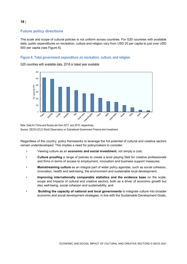# <span id="page-18-0"></span>**Future policy directions**

The scale and scope of cultural policies is not uniform across countries. For G20 countries with available data, public expenditures on recreation, culture and religion vary from USD 20 per capita to just over USD 500 per capita (see [Figure](#page-18-1) 6).

# <span id="page-18-1"></span>**Figure 6. Total government expenditure on recreation, culture, and religion**

G20 countries with available data, 2018 or latest year available



Note: Data for China and Russia are from 2017, and 2015, respectively. Source: OECD-UCLG World Observatory on Subnational Government Finance and Investment.

Regardless of the country, policy frameworks to leverage the full potential of cultural and creative sectors remain underdeveloped. This implies a need for policymakers to consider:

- Viewing culture as an **economic and social investment**, not simply a cost;
- **Culture proofing** a range of policies to create a level playing field for creative professionals and firms in terms of access to employment, innovation and business support measures;
- **Mainstreaming culture** as an integral part of wider policy agendas, such as social cohesion, innovation, health and well-being, the environment and sustainable local development;
- **Improving internationally comparable statistics and the evidence base** on the scale, scope and impacts of cultural and creative sectors, both as a driver of economic growth but also well-being, social cohesion and sustainability; and
- **Building the capacity of national and local governments** to integrate culture into broader economic and social development strategies, in line with the Sustainable Development Goals.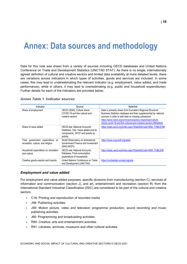# <span id="page-19-0"></span>**Annex: Data sources and methodology**

Data for this note was drawn from a variety of sources including OECD databases and United Nations Conference on Trade and Development Statistics (UNCTAD STAT). As there is no single, internationally agreed definition of cultural and creative sectors and limited data availability at more detailed levels, there are variations across indicators in which types of activities, goods and services are included. In some cases, this may lead to underestimating the relevant indicator (e.g. employment, value added, and trade performance), while in others, it may lead to overestimating (e.g. public and household expenditures). Further details for each of the indicators are provided below.

| Indicator                                                            | Source                                                                                                                  | Note/link                                                                                                                                                                                                                                                                                                           |
|----------------------------------------------------------------------|-------------------------------------------------------------------------------------------------------------------------|---------------------------------------------------------------------------------------------------------------------------------------------------------------------------------------------------------------------------------------------------------------------------------------------------------------------|
| Share of employment                                                  | OECD (2020), Culture shock:<br>COVID-19 and the cultural and<br>creative sectors                                        | Data is primarily drawn from Eurostat's Regional Structural<br>Business Statistics database and then supplemented by national<br>sources in order to add data on missing subsectors.<br>https://www.oecd.org/coronavirus/policy-responses/culture-<br>shock-covid-19-and-the-cultural-and-creative-sectors-08da9e0e |
| Share of value added                                                 | <b>OECD.stat. National Accounts</b><br>Database, Use, Value added and its<br>components, GFCF and assets by<br>activity | https://stats.oecd.org/Index.aspx?DataSetCode=SNA_TABLE30#                                                                                                                                                                                                                                                          |
| Total government expenditure on<br>recreation, culture, and religion | World Observatory on Subnational<br>Government Finance and Investment<br>(SNG-WOFI)                                     | https://www.sng-wofi.org/data/                                                                                                                                                                                                                                                                                      |
| Household expenditure on recreation<br>and culture                   | <b>OECD.stat, National Accounts</b><br>Database, Final consumption<br>expenditure of households                         | https://stats.oecd.org/Index.aspx?DataSetCode=SNA_TABLE5#                                                                                                                                                                                                                                                           |
| Creative goods exports and imports                                   | United Nations Conference on Trade<br>and Development (UNCTAD)                                                          | https://unctadstat.unctad.org/wds                                                                                                                                                                                                                                                                                   |

# <span id="page-19-1"></span>*Annex Table 1. Indicator sources*

#### *Employment and value added*

For employment and value added purposes, specific divisions from manufacturing (section C), services of information and communication (section J), and art, entertainment and recreation (section R) from the International Standard Industrial Classification (ISIC) are considered to be part of the cultural and creative sectors:

- C18: Printing and reproduction of recorded media
- J58: Publishing activities
- J59: Motion picture, video and television programme production, sound recording and music publishing activities
- J60: Programming and broadcasting activities
- R90: Creative, arts and entertainment activities
- R91: Libraries, archives, museums and other cultural activities

ECONOMIC AND SOCIAL IMPACT OF CULTURAL AND CREATIVE SECTORS © OECD 2021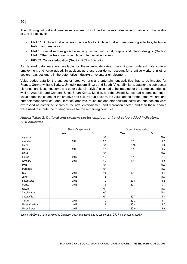The following cultural and creative sectors are not included in the estimates as information is not available at 3 or 4 digit level:

- M71.11: Architectural activities (Section M71 Architectural and engineering activities; technical testing and analysis)
- M74.1: Specialised design activities, e.g. fashion, industrial, graphic and interior designs (Section M74: Other professional, scientific and technical activities)
- P85.52: Cultural education (Section P85 Education)

As detailed data were not available for these sub-categories, these figures underestimate cultural employment and value added. In addition, as these data do not account for creative workers in other sectors (e.g. designers in the automotive industry) or volunteer employment.

Value added data for the sub-sector "creative, arts and entertainment activities" had to be imputed for France, Germany, Italy, Turkey, United Kingdom, Brazil, and South Africa. Similarly, data for the sub-sector "libraries, archives, museums and other cultural activitie" also had to be imputed for the same countries as well as Australia and Canada. Since South Korea, Mexico, and the United States had a complete set of value added indicators for the creative and cultural sub-sectors, the value added for the "creative, arts and entertainment activities", and "libraries, archives, museums and other cultural activities" sub-sectors were expressed as combined shares of the arts, entertainment and recreation sector, and then these shares were used to impute the missing values for the remaining countries.

|                      |      | Share of employment | Share of value added |      |  |
|----------------------|------|---------------------|----------------------|------|--|
|                      | Year | $\%$                | Year                 | $\%$ |  |
| Argentina            |      | N/A                 |                      | N/A  |  |
| Australia            | 2019 | 2.1                 | 2017                 | 1.2  |  |
| <b>Brazil</b>        |      | N/A                 | 2018                 | 0.8  |  |
| Canada               | 2018 | 1.5                 | 2017                 | 1.5  |  |
| China                |      | N/A                 |                      | N/A  |  |
| France               | 2017 | 1.6                 | 2017                 | 2.1  |  |
| Germany              | 2017 | 1.2                 | 2017                 | 1.9  |  |
| India                |      | N/A                 |                      | N/A  |  |
| Indonesia            |      | N/A                 |                      | N/A  |  |
| Italy                | 2017 | 1.5                 | 2017                 | 1.4  |  |
| Japan                | 2016 | 1.5                 |                      | N/A  |  |
| South Korea          | 2018 | 1.9                 | 2018                 | 1.2  |  |
| Mexico               | 2013 | 1.5                 | 2013                 | 0.7  |  |
| Russia               |      | N/A                 |                      | N/A  |  |
| Saudi Arabia         |      | N/A                 |                      | N/A  |  |
| South Africa         |      | N/A                 | 2017                 | 1.3  |  |
| Turkey               | 2017 | 1.0                 | 2012                 | 1.1  |  |
| United Kingdom       | 2017 | 1.8                 | 2018                 | 2.7  |  |
| <b>United States</b> | 2017 | 1.4                 | 2019                 | 3.0  |  |

# <span id="page-20-0"></span>*Annex Table 2. Cultural and creative sector employment and value added indicators, G20 countries*

Source: OECD.stat, National Accounts Database, Use, value added, and its components, GFCF and assets by activity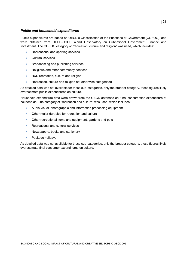# *Public and household expenditures*

Public expenditures are based on OECD's Classification of the Functions of Government (COFOG), and were obtained from OECD-UCLG World Observatory on Subnational Government Finance and Investment. The COFOG category of "recreation, culture and religion" was used, which includes:

- Recreational and sporting services
- Cultural services
- Broadcasting and publishing services
- Religious and other community services
- R&D recreation, culture and religion
- Recreation, culture and religion not otherwise categorised

As detailed data was not available for these sub-categories, only the broader category, these figures likely overestimate public expenditures on culture.

Household expenditure data were drawn from the OECD database on Final consumption expenditure of households. The category of "recreation and culture" was used, which includes:

- Audio-visual, photographic and information processing equipment
- Other major durables for recreation and culture
- Other recreational items and equipment, gardens and pets
- Recreational and cultural services
- Newspapers, books and stationery
- Package holidays

<span id="page-21-0"></span>As detailed data was not available for these sub-categories, only the broader category, these figures likely overestimate final consumer expenditures on culture.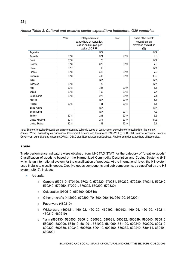|                      | Year | Total government<br>expenditure on recreation,<br>culture and religion (per<br>capita USD PPP) | Year | Share of household<br>expenditure on<br>recreation and culture<br>$(\% )$ |
|----------------------|------|------------------------------------------------------------------------------------------------|------|---------------------------------------------------------------------------|
| Argentina            |      | N/A                                                                                            |      | N/A                                                                       |
| Australia            | 2018 | 374                                                                                            | 2019 | 9.6                                                                       |
| <b>Brazil</b>        | 2018 | 28                                                                                             |      | N/A                                                                       |
| Canada               | 2018 | 376                                                                                            | 2019 | 7.9                                                                       |
| China                | 2017 | 66                                                                                             |      | N/A                                                                       |
| France               | 2018 | 515                                                                                            | 2019 | 7.9                                                                       |
| Germany              | 2018 | 493                                                                                            | 2019 | 10.9                                                                      |
| India                |      | N/A                                                                                            |      | N/A                                                                       |
| Indonesia            | 2018 | 20                                                                                             |      | N/A                                                                       |
| Italy                | 2018 | 326                                                                                            | 2019 | 6.8                                                                       |
| Japan                | 2018 | 159                                                                                            | 2018 | 7.7                                                                       |
| South Korea          | 2018 | 276                                                                                            | 2019 | 7.4                                                                       |
| Mexico               |      | N/A                                                                                            | 2019 | 5.4                                                                       |
| Russia               | 2015 | 101                                                                                            | 2018 | 6.4                                                                       |
| Saudi Arabia         |      | N/A                                                                                            |      | N/A                                                                       |
| South Africa         |      | N/A                                                                                            | 2014 | 4.2                                                                       |
| Turkey               | 2018 | 208                                                                                            | 2019 | 6.2                                                                       |
| United Kingdom       | 2018 | 274                                                                                            | 2019 | 11.2                                                                      |
| <b>United States</b> | 2018 | 148                                                                                            | 2019 | 9.1                                                                       |

*Annex Table 3. Cultural and creative sector expenditure indicators, G20 countries*

Note: Share of household expenditure on recreation and culture is based on consumption expenditure of households on the territory. Source: World Observatory on Subnational Government Finance and Investment (SNG-WOFI); OECD.stat, National Accounts Database, Government expenditure by function (COFOG); OECD.stat, National Accounts Database, Final consumption expenditure of households.

#### *Trade*

Trade performance indicators were obtained from UNCTAD STAT for the category of "creative goods". Classification of goods is based on the Harmonized Commodity Description and Coding Systems (HS) which is an international system for the classification of products. At the international level, the HS system uses 6 digits to classify goods. Creative goods components and sub-components, as classified by the HS system (2012), include:

- Art crafts
	- o Carpets (570110, 570190, 570210, 570220, 570231, 570232, 570239, 570241, 570242, 570249, 570250, 570291, 570292, 570299, 570330)
	- o Celebration (950510, 950590, 950810)
	- o Other art crafts (442090, 670290, 701890, 960110, 960190, 960200)
	- o Paperware (480210)
	- o Wickerware (460121, 460122, 460129, 460192, 460193, 460194, 460199, 460211, 460212, 460219)
	- o Yarn (580430, 580500, 580610, 580620, 580631, 580632, 580639, 580640, 580810, 580890, 580900, 581010, 581091, 581092, 581099, 581100, 600240, 600290, 600310, 600320, 600330, 600340, 600390, 600410, 600490, 630232, 630240, 630411, 630491, 630800)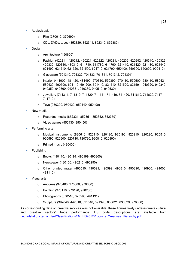- Audiovisuals
	- o Film (370610, 370690)
	- o CDs, DVDs, tapes (852329, 852341, 852349, 852380)
- **Design** 
	- o Architecture (490600)
	- o Fashion (420211, 420212, 420221, 420222, 420231, 420232, 420292, 420310, 420329, 420330, 420340, 430310, 611710, 611780, 611790, 621410, 621420, 621430, 621440, 621490, 621510, 621520, 621590, 621710, 621790, 650400, 650500, 650699, 900410)
	- o Glassware (701310, 701322, 701333, 701341, 701342, 701391)
	- o Interior (441900, 481420, 481490, 570310, 570390, 570410, 570500, 580410, 580421, 580429, 590500, 691110, 691200, 691410, 821510, 821520, 821591, 940320, 940340, 940350, 940360, 940381, 940389, 940510, 940530)
	- o Jewellery (711311, 711319, 711320, 711411, 711419, 711420, 711610, 711620, 711711, 711719)
	- o Toys (950300, 950420, 950440, 950490)
- New media
	- o Recorded media (852321, 852351, 852352, 852359)
	- o Video games (950430, 950450)
- Performing arts
	- o Musical instruments (830610, 920110, 920120, 920190, 920210, 920290, 920510, 920590, 920600, 920710, 720790, 920810, 920890)
	- o Printed music (490400)
- Publishing
	- o Books (490110, 490191, 490199, 490300)
	- o Newspaper (480100, 490210, 490290)
	- o Other printed mater (490510, 490591, 490599, 490810, 490890, 490900, 491000, 491110)
- Visual arts
	- o Antiques (970400, 970500, 970600)
	- o Painting (970110, 970190, 970200)
	- o Photography (370510, 370590, 491191)
	- o Sculpture (392640, 442010, 691310, 691390, 830621, 830629, 970300)

As corresponding data on creative services was not available, these figures likely underestimate cultural and creative sectors' trade performance. HS code descriptions are available from [unctadstat.unctad.org/en/Classifications/DimHS2012Products\\_Creatives\\_Hierarchy.pdf](https://unctadstat.unctad.org/en/Classifications/DimHS2012Products_Creatives_Hierarchy.pdf)